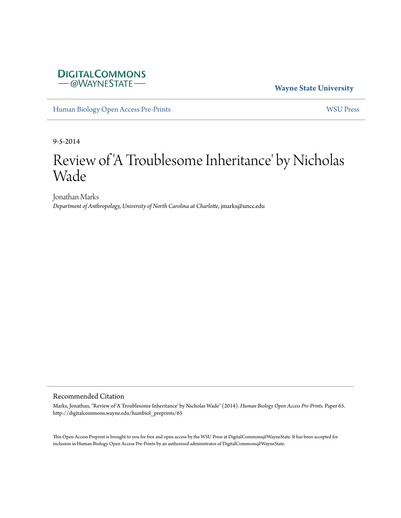## **DIGITALCOMMONS** - @WAYNESTATE-

**Wayne State University**

[Human Biology Open Access Pre-Prints](http://digitalcommons.wayne.edu/humbiol_preprints) [WSU Press](http://digitalcommons.wayne.edu/wsupress)

9-5-2014

# Review of 'A Troublesome Inheritance' by Nicholas Wade

Jonathan Marks *Department of Anthropology, University of North Carolina at Charlotte*, jmarks@uncc.edu

#### Recommended Citation

Marks, Jonathan, "Review of 'A Troublesome Inheritance' by Nicholas Wade" (2014). *Human Biology Open Access Pre-Prints.* Paper 65. http://digitalcommons.wayne.edu/humbiol\_preprints/65

This Open Access Preprint is brought to you for free and open access by the WSU Press at DigitalCommons@WayneState. It has been accepted for inclusion in Human Biology Open Access Pre-Prints by an authorized administrator of DigitalCommons@WayneState.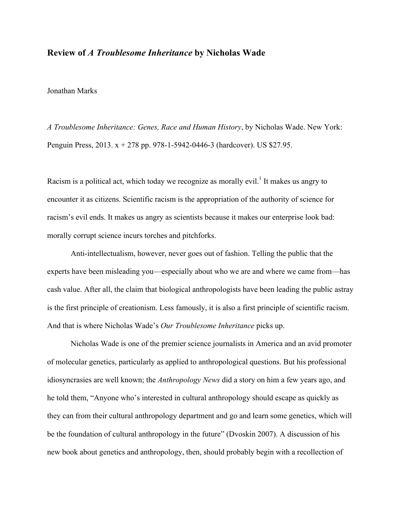#### **Review of** *A Troublesome Inheritance* **by Nicholas Wade**

#### Jonathan Marks

*A Troublesome Inheritance: Genes, Race and Human History*, by Nicholas Wade. New York: Penguin Press, 2013. x + 278 pp. 978-1-5942-0446-3 (hardcover). US \$27.95.

Racism is a political act, which today we recognize as morally evil.<sup>1</sup> It makes us angry to encounter it as citizens. Scientific racism is the appropriation of the authority of science for racism's evil ends. It makes us angry as scientists because it makes our enterprise look bad: morally corrupt science incurs torches and pitchforks.

Anti-intellectualism, however, never goes out of fashion. Telling the public that the experts have been misleading you—especially about who we are and where we came from—has cash value. After all, the claim that biological anthropologists have been leading the public astray is the first principle of creationism. Less famously, it is also a first principle of scientific racism. And that is where Nicholas Wade's *Our Troublesome Inheritance* picks up.

Nicholas Wade is one of the premier science journalists in America and an avid promoter of molecular genetics, particularly as applied to anthropological questions. But his professional idiosyncrasies are well known; the *Anthropology News* did a story on him a few years ago, and he told them, "Anyone who's interested in cultural anthropology should escape as quickly as they can from their cultural anthropology department and go and learn some genetics, which will be the foundation of cultural anthropology in the future" (Dvoskin 2007). A discussion of his new book about genetics and anthropology, then, should probably begin with a recollection of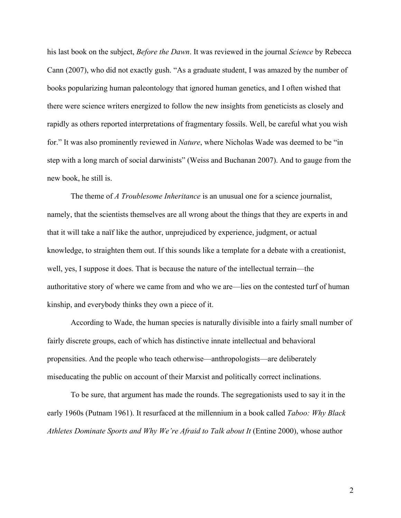his last book on the subject, *Before the Dawn*. It was reviewed in the journal *Science* by Rebecca Cann (2007), who did not exactly gush. "As a graduate student, I was amazed by the number of books popularizing human paleontology that ignored human genetics, and I often wished that there were science writers energized to follow the new insights from geneticists as closely and rapidly as others reported interpretations of fragmentary fossils. Well, be careful what you wish for." It was also prominently reviewed in *Nature*, where Nicholas Wade was deemed to be "in step with a long march of social darwinists" (Weiss and Buchanan 2007). And to gauge from the new book, he still is.

The theme of *A Troublesome Inheritance* is an unusual one for a science journalist, namely, that the scientists themselves are all wrong about the things that they are experts in and that it will take a naïf like the author, unprejudiced by experience, judgment, or actual knowledge, to straighten them out. If this sounds like a template for a debate with a creationist, well, yes, I suppose it does. That is because the nature of the intellectual terrain—the authoritative story of where we came from and who we are—lies on the contested turf of human kinship, and everybody thinks they own a piece of it.

According to Wade, the human species is naturally divisible into a fairly small number of fairly discrete groups, each of which has distinctive innate intellectual and behavioral propensities. And the people who teach otherwise—anthropologists—are deliberately miseducating the public on account of their Marxist and politically correct inclinations.

To be sure, that argument has made the rounds. The segregationists used to say it in the early 1960s (Putnam 1961). It resurfaced at the millennium in a book called *Taboo: Why Black Athletes Dominate Sports and Why We're Afraid to Talk about It* (Entine 2000), whose author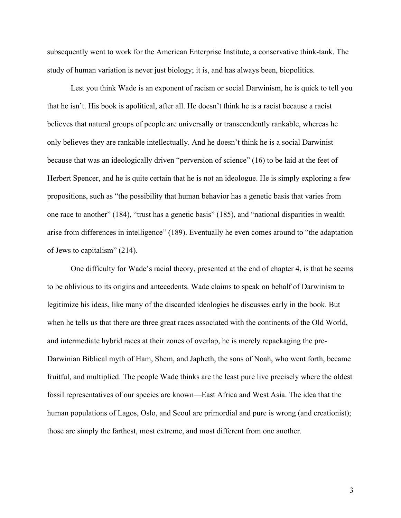subsequently went to work for the American Enterprise Institute, a conservative think-tank. The study of human variation is never just biology; it is, and has always been, biopolitics.

Lest you think Wade is an exponent of racism or social Darwinism, he is quick to tell you that he isn't. His book is apolitical, after all. He doesn't think he is a racist because a racist believes that natural groups of people are universally or transcendently rankable, whereas he only believes they are rankable intellectually. And he doesn't think he is a social Darwinist because that was an ideologically driven "perversion of science" (16) to be laid at the feet of Herbert Spencer, and he is quite certain that he is not an ideologue. He is simply exploring a few propositions, such as "the possibility that human behavior has a genetic basis that varies from one race to another" (184), "trust has a genetic basis" (185), and "national disparities in wealth arise from differences in intelligence" (189). Eventually he even comes around to "the adaptation of Jews to capitalism" (214).

One difficulty for Wade's racial theory, presented at the end of chapter 4, is that he seems to be oblivious to its origins and antecedents. Wade claims to speak on behalf of Darwinism to legitimize his ideas, like many of the discarded ideologies he discusses early in the book. But when he tells us that there are three great races associated with the continents of the Old World, and intermediate hybrid races at their zones of overlap, he is merely repackaging the pre-Darwinian Biblical myth of Ham, Shem, and Japheth, the sons of Noah, who went forth, became fruitful, and multiplied. The people Wade thinks are the least pure live precisely where the oldest fossil representatives of our species are known—East Africa and West Asia. The idea that the human populations of Lagos, Oslo, and Seoul are primordial and pure is wrong (and creationist); those are simply the farthest, most extreme, and most different from one another.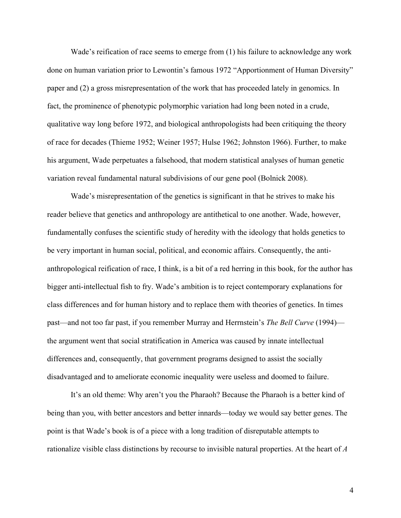Wade's reification of race seems to emerge from (1) his failure to acknowledge any work done on human variation prior to Lewontin's famous 1972 "Apportionment of Human Diversity" paper and (2) a gross misrepresentation of the work that has proceeded lately in genomics. In fact, the prominence of phenotypic polymorphic variation had long been noted in a crude, qualitative way long before 1972, and biological anthropologists had been critiquing the theory of race for decades (Thieme 1952; Weiner 1957; Hulse 1962; Johnston 1966). Further, to make his argument, Wade perpetuates a falsehood, that modern statistical analyses of human genetic variation reveal fundamental natural subdivisions of our gene pool (Bolnick 2008).

Wade's misrepresentation of the genetics is significant in that he strives to make his reader believe that genetics and anthropology are antithetical to one another. Wade, however, fundamentally confuses the scientific study of heredity with the ideology that holds genetics to be very important in human social, political, and economic affairs. Consequently, the antianthropological reification of race, I think, is a bit of a red herring in this book, for the author has bigger anti-intellectual fish to fry. Wade's ambition is to reject contemporary explanations for class differences and for human history and to replace them with theories of genetics. In times past—and not too far past, if you remember Murray and Herrnstein's *The Bell Curve* (1994) the argument went that social stratification in America was caused by innate intellectual differences and, consequently, that government programs designed to assist the socially disadvantaged and to ameliorate economic inequality were useless and doomed to failure.

It's an old theme: Why aren't you the Pharaoh? Because the Pharaoh is a better kind of being than you, with better ancestors and better innards—today we would say better genes. The point is that Wade's book is of a piece with a long tradition of disreputable attempts to rationalize visible class distinctions by recourse to invisible natural properties. At the heart of *A*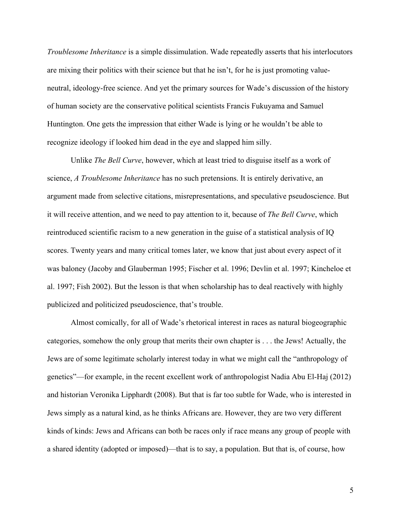*Troublesome Inheritance* is a simple dissimulation. Wade repeatedly asserts that his interlocutors are mixing their politics with their science but that he isn't, for he is just promoting valueneutral, ideology-free science. And yet the primary sources for Wade's discussion of the history of human society are the conservative political scientists Francis Fukuyama and Samuel Huntington. One gets the impression that either Wade is lying or he wouldn't be able to recognize ideology if looked him dead in the eye and slapped him silly.

Unlike *The Bell Curve*, however, which at least tried to disguise itself as a work of science, *A Troublesome Inheritance* has no such pretensions. It is entirely derivative, an argument made from selective citations, misrepresentations, and speculative pseudoscience. But it will receive attention, and we need to pay attention to it, because of *The Bell Curve*, which reintroduced scientific racism to a new generation in the guise of a statistical analysis of IQ scores. Twenty years and many critical tomes later, we know that just about every aspect of it was baloney (Jacoby and Glauberman 1995; Fischer et al. 1996; Devlin et al. 1997; Kincheloe et al. 1997; Fish 2002). But the lesson is that when scholarship has to deal reactively with highly publicized and politicized pseudoscience, that's trouble.

Almost comically, for all of Wade's rhetorical interest in races as natural biogeographic categories, somehow the only group that merits their own chapter is . . . the Jews! Actually, the Jews are of some legitimate scholarly interest today in what we might call the "anthropology of genetics"—for example, in the recent excellent work of anthropologist Nadia Abu El-Haj (2012) and historian Veronika Lipphardt (2008). But that is far too subtle for Wade, who is interested in Jews simply as a natural kind, as he thinks Africans are. However, they are two very different kinds of kinds: Jews and Africans can both be races only if race means any group of people with a shared identity (adopted or imposed)—that is to say, a population. But that is, of course, how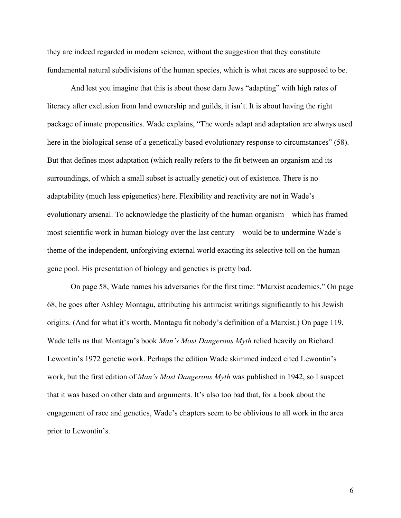they are indeed regarded in modern science, without the suggestion that they constitute fundamental natural subdivisions of the human species, which is what races are supposed to be.

And lest you imagine that this is about those darn Jews "adapting" with high rates of literacy after exclusion from land ownership and guilds, it isn't. It is about having the right package of innate propensities. Wade explains, "The words adapt and adaptation are always used here in the biological sense of a genetically based evolutionary response to circumstances" (58). But that defines most adaptation (which really refers to the fit between an organism and its surroundings, of which a small subset is actually genetic) out of existence. There is no adaptability (much less epigenetics) here. Flexibility and reactivity are not in Wade's evolutionary arsenal. To acknowledge the plasticity of the human organism—which has framed most scientific work in human biology over the last century—would be to undermine Wade's theme of the independent, unforgiving external world exacting its selective toll on the human gene pool. His presentation of biology and genetics is pretty bad.

On page 58, Wade names his adversaries for the first time: "Marxist academics." On page 68, he goes after Ashley Montagu, attributing his antiracist writings significantly to his Jewish origins. (And for what it's worth, Montagu fit nobody's definition of a Marxist.) On page 119, Wade tells us that Montagu's book *Man's Most Dangerous Myth* relied heavily on Richard Lewontin's 1972 genetic work. Perhaps the edition Wade skimmed indeed cited Lewontin's work, but the first edition of *Man's Most Dangerous Myth* was published in 1942, so I suspect that it was based on other data and arguments. It's also too bad that, for a book about the engagement of race and genetics, Wade's chapters seem to be oblivious to all work in the area prior to Lewontin's.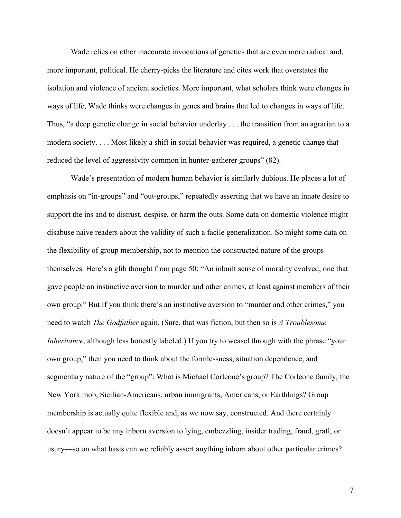Wade relies on other inaccurate invocations of genetics that are even more radical and, more important, political. He cherry-picks the literature and cites work that overstates the isolation and violence of ancient societies. More important, what scholars think were changes in ways of life, Wade thinks were changes in genes and brains that led to changes in ways of life. Thus, "a deep genetic change in social behavior underlay . . . the transition from an agrarian to a modern society. . . . Most likely a shift in social behavior was required, a genetic change that reduced the level of aggressivity common in hunter-gatherer groups" (82).

Wade's presentation of modern human behavior is similarly dubious. He places a lot of emphasis on "in-groups" and "out-groups," repeatedly asserting that we have an innate desire to support the ins and to distrust, despise, or harm the outs. Some data on domestic violence might disabuse naive readers about the validity of such a facile generalization. So might some data on the flexibility of group membership, not to mention the constructed nature of the groups themselves. Here's a glib thought from page 50: "An inbuilt sense of morality evolved, one that gave people an instinctive aversion to murder and other crimes, at least against members of their own group." But If you think there's an instinctive aversion to "murder and other crimes," you need to watch *The Godfather* again. (Sure, that was fiction, but then so is *A Troublesome Inheritance*, although less honestly labeled.) If you try to weasel through with the phrase "your own group," then you need to think about the formlessness, situation dependence, and segmentary nature of the "group": What is Michael Corleone's group? The Corleone family, the New York mob, Sicilian-Americans, urban immigrants, Americans, or Earthlings? Group membership is actually quite flexible and, as we now say, constructed. And there certainly doesn't appear to be any inborn aversion to lying, embezzling, insider trading, fraud, graft, or usury—so on what basis can we reliably assert anything inborn about other particular crimes?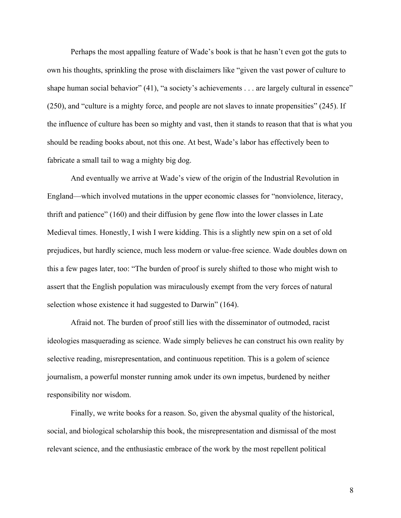Perhaps the most appalling feature of Wade's book is that he hasn't even got the guts to own his thoughts, sprinkling the prose with disclaimers like "given the vast power of culture to shape human social behavior" (41), "a society's achievements . . . are largely cultural in essence" (250), and "culture is a mighty force, and people are not slaves to innate propensities" (245). If the influence of culture has been so mighty and vast, then it stands to reason that that is what you should be reading books about, not this one. At best, Wade's labor has effectively been to fabricate a small tail to wag a mighty big dog.

And eventually we arrive at Wade's view of the origin of the Industrial Revolution in England—which involved mutations in the upper economic classes for "nonviolence, literacy, thrift and patience" (160) and their diffusion by gene flow into the lower classes in Late Medieval times. Honestly, I wish I were kidding. This is a slightly new spin on a set of old prejudices, but hardly science, much less modern or value-free science. Wade doubles down on this a few pages later, too: "The burden of proof is surely shifted to those who might wish to assert that the English population was miraculously exempt from the very forces of natural selection whose existence it had suggested to Darwin" (164).

Afraid not. The burden of proof still lies with the disseminator of outmoded, racist ideologies masquerading as science. Wade simply believes he can construct his own reality by selective reading, misrepresentation, and continuous repetition. This is a golem of science journalism, a powerful monster running amok under its own impetus, burdened by neither responsibility nor wisdom.

Finally, we write books for a reason. So, given the abysmal quality of the historical, social, and biological scholarship this book, the misrepresentation and dismissal of the most relevant science, and the enthusiastic embrace of the work by the most repellent political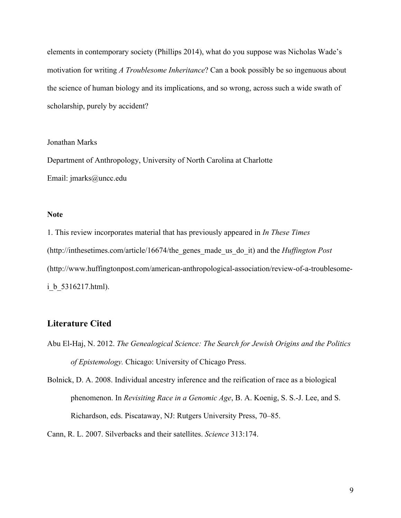elements in contemporary society (Phillips 2014), what do you suppose was Nicholas Wade's motivation for writing *A Troublesome Inheritance*? Can a book possibly be so ingenuous about the science of human biology and its implications, and so wrong, across such a wide swath of scholarship, purely by accident?

#### Jonathan Marks

Department of Anthropology, University of North Carolina at Charlotte Email: jmarks@uncc.edu

#### **Note**

1. This review incorporates material that has previously appeared in *In These Times* (http://inthesetimes.com/article/16674/the\_genes\_made\_us\_do\_it) and the *Huffington Post* (http://www.huffingtonpost.com/american-anthropological-association/review-of-a-troublesomei b 5316217.html).

### **Literature Cited**

Abu El-Haj, N. 2012. *The Genealogical Science: The Search for Jewish Origins and the Politics of Epistemology.* Chicago: University of Chicago Press.

Bolnick, D. A. 2008. Individual ancestry inference and the reification of race as a biological phenomenon. In *Revisiting Race in a Genomic Age*, B. A. Koenig, S. S.-J. Lee, and S. Richardson, eds. Piscataway, NJ: Rutgers University Press, 70–85.

Cann, R. L. 2007. Silverbacks and their satellites. *Science* 313:174.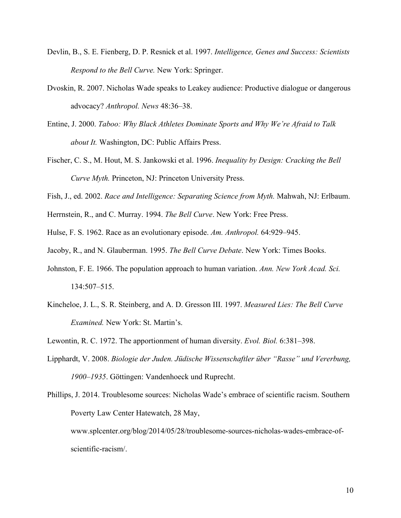- Devlin, B., S. E. Fienberg, D. P. Resnick et al. 1997. *Intelligence, Genes and Success: Scientists Respond to the Bell Curve.* New York: Springer.
- Dvoskin, R. 2007. Nicholas Wade speaks to Leakey audience: Productive dialogue or dangerous advocacy? *Anthropol. News* 48:36–38.
- Entine, J. 2000. *Taboo: Why Black Athletes Dominate Sports and Why We're Afraid to Talk about It.* Washington, DC: Public Affairs Press.
- Fischer, C. S., M. Hout, M. S. Jankowski et al. 1996. *Inequality by Design: Cracking the Bell Curve Myth.* Princeton, NJ: Princeton University Press.
- Fish, J., ed. 2002. *Race and Intelligence: Separating Science from Myth.* Mahwah, NJ: Erlbaum.
- Herrnstein, R., and C. Murray. 1994. *The Bell Curve*. New York: Free Press.
- Hulse, F. S. 1962. Race as an evolutionary episode. *Am. Anthropol.* 64:929–945.
- Jacoby, R., and N. Glauberman. 1995. *The Bell Curve Debate*. New York: Times Books.
- Johnston, F. E. 1966. The population approach to human variation. *Ann. New York Acad. Sci.* 134:507–515.
- Kincheloe, J. L., S. R. Steinberg, and A. D. Gresson III. 1997. *Measured Lies: The Bell Curve Examined.* New York: St. Martin's.
- Lewontin, R. C. 1972. The apportionment of human diversity. *Evol. Biol.* 6:381–398.
- Lipphardt, V. 2008. *Biologie der Juden. Jüdische Wissenschaftler über "Rasse" und Vererbung, 1900–1935*. Göttingen: Vandenhoeck und Ruprecht.

Phillips, J. 2014. Troublesome sources: Nicholas Wade's embrace of scientific racism. Southern Poverty Law Center Hatewatch, 28 May, www.splcenter.org/blog/2014/05/28/troublesome-sources-nicholas-wades-embrace-ofscientific-racism/.